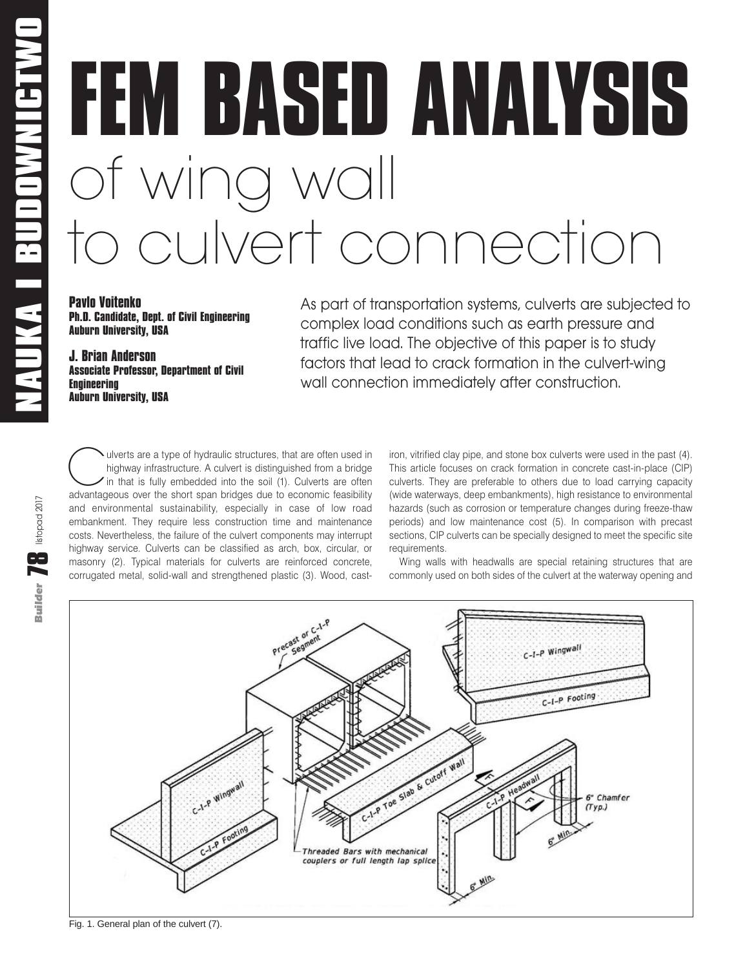Builder **78** listopad 2017

Builder **TA** listopad 2017

# **FEM BASED ANALYSIS** of wing wall to culvert connection

**Pavlo Voitenko Ph.D. Candidate, Dept. of Civil Engineering Auburn University, USA**

**J. Brian Anderson Associate Professor, Department of Civil Engineering Auburn University, USA**

As part of transportation systems, culverts are subjected to complex load conditions such as earth pressure and traffic live load. The objective of this paper is to study factors that lead to crack formation in the culvert-wing wall connection immediately after construction.

Culverts are a type of hydraulic structures, that are often used in highway infrastructure. A culvert is distinguished from a bridge in that is fully embedded into the soil (1). Culverts are often advantageous over the sho highway infrastructure. A culvert is distinguished from a bridge in that is fully embedded into the soil (1). Culverts are often advantageous over the short span bridges due to economic feasibility and environmental sustainability, especially in case of low road embankment. They require less construction time and maintenance costs. Nevertheless, the failure of the culvert components may interrupt highway service. Culverts can be classified as arch, box, circular, or masonry (2). Typical materials for culverts are reinforced concrete, corrugated metal, solid-wall and strengthened plastic (3). Wood, cast-

iron, vitrified clay pipe, and stone box culverts were used in the past (4). This article focuses on crack formation in concrete cast-in-place (CIP) culverts. They are preferable to others due to load carrying capacity (wide waterways, deep embankments), high resistance to environmental hazards (such as corrosion or temperature changes during freeze-thaw periods) and low maintenance cost (5). In comparison with precast sections, CIP culverts can be specially designed to meet the specific site requirements.

Wing walls with headwalls are special retaining structures that are commonly used on both sides of the culvert at the waterway opening and



Fig. 1. General plan of the culvert (7).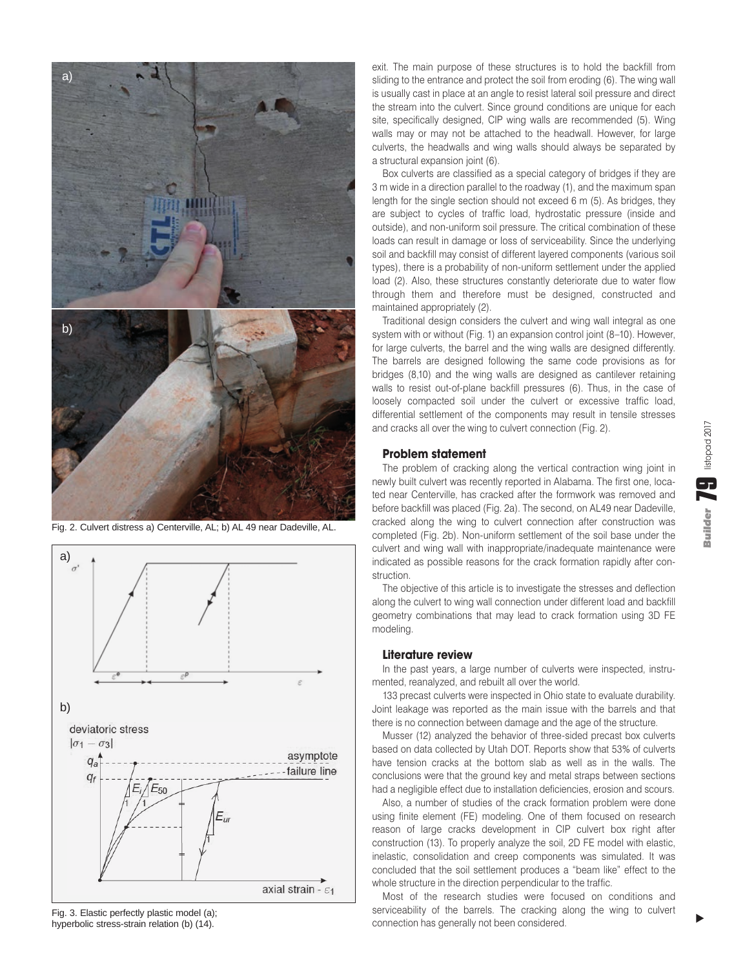

Fig. 2. Culvert distress a) Centerville, AL; b) AL 49 near Dadeville, AL.



Fig. 3. Elastic perfectly plastic model (a); hyperbolic stress-strain relation (b) (14).

exit. The main purpose of these structures is to hold the backfill from sliding to the entrance and protect the soil from eroding (6). The wing wall is usually cast in place at an angle to resist lateral soil pressure and direct the stream into the culvert. Since ground conditions are unique for each site, specifically designed, CIP wing walls are recommended (5). Wing walls may or may not be attached to the headwall. However, for large culverts, the headwalls and wing walls should always be separated by a structural expansion joint (6).

Box culverts are classified as a special category of bridges if they are 3 m wide in a direction parallel to the roadway (1), and the maximum span length for the single section should not exceed 6 m (5). As bridges, they are subject to cycles of traffic load, hydrostatic pressure (inside and outside), and non-uniform soil pressure. The critical combination of these loads can result in damage or loss of serviceability. Since the underlying soil and backfill may consist of different layered components (various soil types), there is a probability of non-uniform settlement under the applied load (2). Also, these structures constantly deteriorate due to water flow through them and therefore must be designed, constructed and maintained appropriately (2).

Traditional design considers the culvert and wing wall integral as one system with or without (Fig. 1) an expansion control joint (8–10). However, for large culverts, the barrel and the wing walls are designed differently. The barrels are designed following the same code provisions as for bridges (8,10) and the wing walls are designed as cantilever retaining walls to resist out-of-plane backfill pressures (6). Thus, in the case of loosely compacted soil under the culvert or excessive traffic load, differential settlement of the components may result in tensile stresses and cracks all over the wing to culvert connection (Fig. 2).

## **Problem statement**

The problem of cracking along the vertical contraction wing joint in newly built culvert was recently reported in Alabama. The first one, located near Centerville, has cracked after the formwork was removed and before backfill was placed (Fig. 2a). The second, on AL49 near Dadeville, cracked along the wing to culvert connection after construction was completed (Fig. 2b). Non-uniform settlement of the soil base under the culvert and wing wall with inappropriate/inadequate maintenance were indicated as possible reasons for the crack formation rapidly after construction.

The objective of this article is to investigate the stresses and deflection along the culvert to wing wall connection under different load and backfill geometry combinations that may lead to crack formation using 3D FE modeling.

#### **Literature review**

In the past years, a large number of culverts were inspected, instrumented, reanalyzed, and rebuilt all over the world.

133 precast culverts were inspected in Ohio state to evaluate durability. Joint leakage was reported as the main issue with the barrels and that there is no connection between damage and the age of the structure.

Musser (12) analyzed the behavior of three-sided precast box culverts based on data collected by Utah DOT. Reports show that 53% of culverts have tension cracks at the bottom slab as well as in the walls. The conclusions were that the ground key and metal straps between sections had a negligible effect due to installation deficiencies, erosion and scours.

Also, a number of studies of the crack formation problem were done using finite element (FE) modeling. One of them focused on research reason of large cracks development in CIP culvert box right after construction (13). To properly analyze the soil, 2D FE model with elastic, inelastic, consolidation and creep components was simulated. It was concluded that the soil settlement produces a "beam like" effect to the whole structure in the direction perpendicular to the traffic.

Most of the research studies were focused on conditions and serviceability of the barrels. The cracking along the wing to culvert connection has generally not been considered.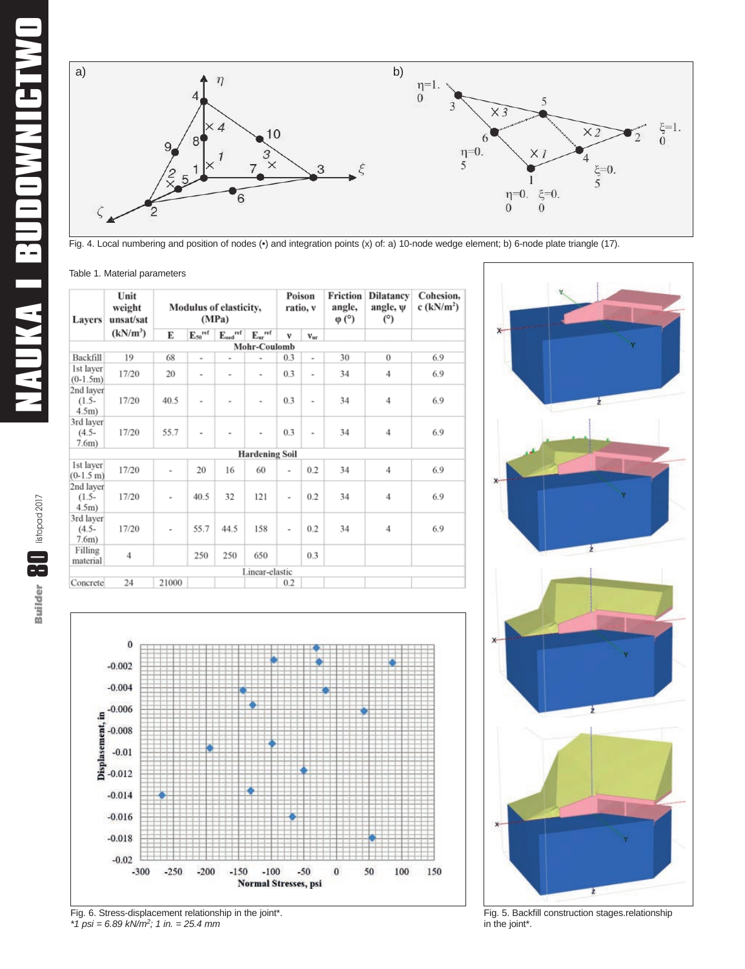

Fig. 4. Local numbering and position of nodes (•) and integration points (x) of: a) 10-node wedge element; b) 6-node plate triangle (17).

|  |  |  | Table 1. Material parameters |
|--|--|--|------------------------------|
|--|--|--|------------------------------|

| <b>Layers</b>                     | Unit<br>weight<br>unsat/sat<br>$(kN/m^3)$ | <b>Modulus of elasticity,</b><br>(MPa) |                |                                            | Poison<br>ratio, v       |                          | Friction<br>angle,<br>$\varphi$ (°) | <b>Dilatancy</b><br>angle, $\Psi$<br>(°) | Cohesion.<br>c $(kN/m2)$ |     |
|-----------------------------------|-------------------------------------------|----------------------------------------|----------------|--------------------------------------------|--------------------------|--------------------------|-------------------------------------|------------------------------------------|--------------------------|-----|
|                                   |                                           | Е                                      | $E_{50}$ ref   | $\mathrm{E}_{\mathrm{oed}}^{\mathrm{ref}}$ | $E_{ur}$ ref             | $\mathbf{v}$             | $V_{\rm ur}$                        |                                          |                          |     |
|                                   |                                           |                                        |                |                                            | Mohr-Coulomb             |                          |                                     |                                          |                          |     |
| Backfill                          | 19                                        | 68                                     | $\overline{a}$ | ۰                                          | $\overline{\phantom{a}}$ | 0.3                      | $\overline{\phantom{0}}$            | 30                                       | $\bf{0}$                 | 6.9 |
| 1st layer<br>$(0-1.5m)$           | 17/20                                     | 20                                     | $\overline{a}$ | $\overline{\phantom{a}}$                   | $\overline{\phantom{a}}$ | 0.3                      | $\overline{a}$                      | 34                                       | 4                        | 6.9 |
| 2nd layer<br>$(1.5-$<br>4.5m)     | 17/20                                     | 40.5                                   | $\overline{a}$ | $\overline{a}$                             | $\overline{\phantom{a}}$ | 0.3                      | $\overline{a}$                      | 34                                       | $\overline{4}$           | 6.9 |
| 3rd layer<br>$(4.5 -$<br>$7.6m$ ) | 17/20                                     | 55.7                                   | $\overline{a}$ | $\overline{a}$                             | $\overline{a}$           | 0.3                      | $\overline{\phantom{a}}$            | 34                                       | $\overline{4}$           | 6.9 |
|                                   |                                           |                                        |                |                                            | <b>Hardening Soil</b>    |                          |                                     |                                          |                          |     |
| 1st layer<br>$(0-1.5 \text{ m})$  | 17/20                                     | $\overline{a}$                         | 20             | 16                                         | 60                       | $\overline{\phantom{a}}$ | 0.2                                 | 34                                       | 4                        | 6.9 |
| 2nd layer<br>$(1.5 -$<br>4.5m)    | 17/20                                     | ×,                                     | 40.5           | 32                                         | 121                      | $\overline{a}$           | 0.2                                 | 34                                       | $\overline{4}$           | 6.9 |
| 3rd layer<br>$(4.5 -$<br>$7.6m$ ) | 17/20                                     | ä,                                     | 55.7           | 44.5                                       | 158                      | ٠                        | 0.2                                 | 34                                       | $\overline{4}$           | 6.9 |
| Filling<br>material               | $\overline{4}$                            |                                        | 250            | 250                                        | 650                      |                          | 0.3                                 |                                          |                          |     |
|                                   |                                           |                                        |                |                                            | Linear-elastic           |                          |                                     |                                          |                          |     |
| Concrete                          | 24                                        | 21000                                  |                |                                            |                          | 0.2                      |                                     |                                          |                          |     |







Fig. 5. Backfill construction stages.relationship in the joint\*.